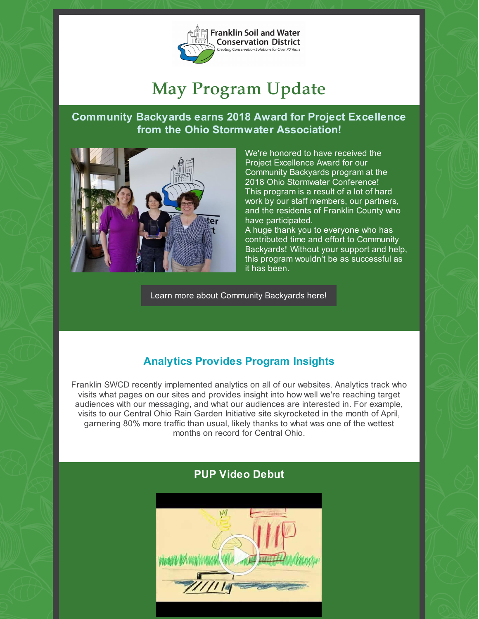

# May Program Update

### **Community Backyards earns 2018 Award for Project Excellence from the Ohio Stormwater Association!**



We're honored to have received the Project Excellence Award for our Community Backyards program at the 2018 Ohio Stormwater Conference! This program is a result of a lot of hard work by our staff members, our partners, and the residents of Franklin County who have participated.

A huge thank you to everyone who has contributed time and effort to Community Backyards! Without your support and help, this program wouldn't be as successful as it has been.

Learn more about [Community](http://communitybackyards.org) Backyards here!

# **Analytics Provides Program Insights**

Franklin SWCD recently implemented analytics on all of our websites. Analytics track who visits what pages on our sites and provides insight into how well we're reaching target audiences with our messaging, and what our audiences are interested in. For example, visits to our Central Ohio Rain Garden Initiative site skyrocketed in the month of April, garnering 80% more traffic than usual, likely thanks to what was one of the wettest months on record for Central Ohio.



## **PUP Video Debut**